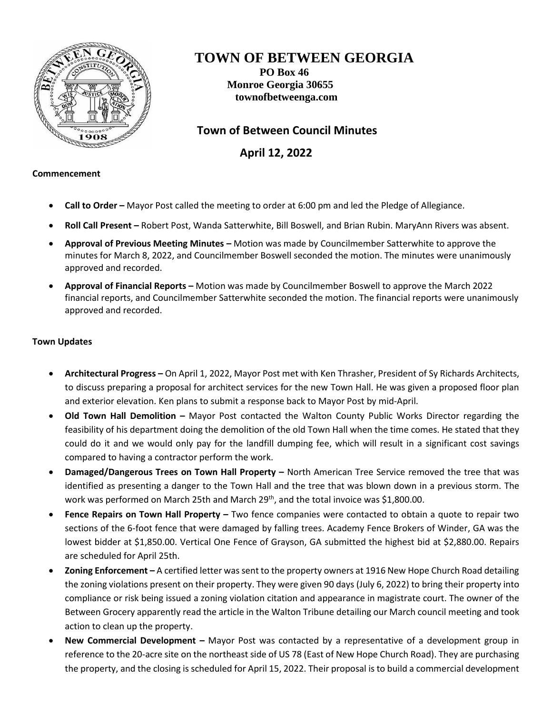

# **TOWN OF BETWEEN GEORGIA**

**PO Box 46 Monroe Georgia 30655 townofbetweenga.com**

## **Town of Between Council Minutes**

 **April 12, 2022**

#### **Commencement**

- **Call to Order –** Mayor Post called the meeting to order at 6:00 pm and led the Pledge of Allegiance.
- **Roll Call Present –** Robert Post, Wanda Satterwhite, Bill Boswell, and Brian Rubin. MaryAnn Rivers was absent.
- **Approval of Previous Meeting Minutes –** Motion was made by Councilmember Satterwhite to approve the minutes for March 8, 2022, and Councilmember Boswell seconded the motion. The minutes were unanimously approved and recorded.
- **Approval of Financial Reports –** Motion was made by Councilmember Boswell to approve the March 2022 financial reports, and Councilmember Satterwhite seconded the motion. The financial reports were unanimously approved and recorded.

### **Town Updates**

- **Architectural Progress –** On April 1, 2022, Mayor Post met with Ken Thrasher, President of Sy Richards Architects, to discuss preparing a proposal for architect services for the new Town Hall. He was given a proposed floor plan and exterior elevation. Ken plans to submit a response back to Mayor Post by mid-April.
- **Old Town Hall Demolition –** Mayor Post contacted the Walton County Public Works Director regarding the feasibility of his department doing the demolition of the old Town Hall when the time comes. He stated that they could do it and we would only pay for the landfill dumping fee, which will result in a significant cost savings compared to having a contractor perform the work.
- **Damaged/Dangerous Trees on Town Hall Property –** North American Tree Service removed the tree that was identified as presenting a danger to the Town Hall and the tree that was blown down in a previous storm. The work was performed on March 25th and March 29<sup>th</sup>, and the total invoice was \$1,800.00.
- **Fence Repairs on Town Hall Property –** Two fence companies were contacted to obtain a quote to repair two sections of the 6-foot fence that were damaged by falling trees. Academy Fence Brokers of Winder, GA was the lowest bidder at \$1,850.00. Vertical One Fence of Grayson, GA submitted the highest bid at \$2,880.00. Repairs are scheduled for April 25th.
- **Zoning Enforcement –** A certified letter was sent to the property owners at 1916 New Hope Church Road detailing the zoning violations present on their property. They were given 90 days (July 6, 2022) to bring their property into compliance or risk being issued a zoning violation citation and appearance in magistrate court. The owner of the Between Grocery apparently read the article in the Walton Tribune detailing our March council meeting and took action to clean up the property.
- **New Commercial Development –** Mayor Post was contacted by a representative of a development group in reference to the 20-acre site on the northeast side of US 78 (East of New Hope Church Road). They are purchasing the property, and the closing is scheduled for April 15, 2022. Their proposal is to build a commercial development